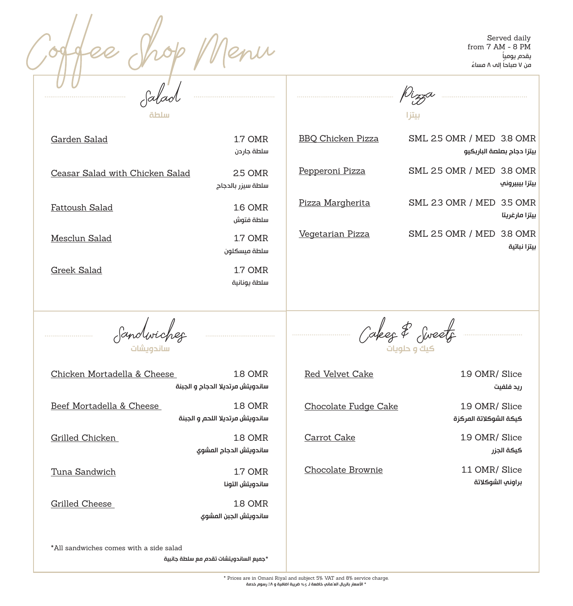Served daily enu from 7 AM - 8 PM ً يقدم يوميا .<br>من ٧ صباحاً إلى ٨ مساءً Salad <u>Dizza</u> بيتزا سلطة Garden Salad 1.7 OMR BBQ Chicken Pizza SML 2.5 OMR / MED 3.8 OMR سلطة جاردن بيتزا دجاج بصلصة الباربكيو Pepperoni Pizza SML 2.5 OMR / MED 3.8 OMR Ceasar Salad with Chicken Salad 2.5 OMR بيتزا بيبيروني سلطة سيزر بالدجاج Pizza Margherita SML 2.3 OMR / MED 3.5 OMR Fattoush Salad 1.6 OMR بيتزا مارغريتا سلطة فتوش Vegetarian Pizza SML 2.5 OMR / MED 3.8 OMR Mesclun Salad 1.7 OMR بيتزا نباتية سلطة ميسكلون Greek Salad 1.7 OMR سلطة يونانية Sandwiches Cakes & Sweets ساندويشات كيك و حلويات Chicken Mortadella & Cheese 1.8 OMR Red Velvet Cake 1.9 OMR/ Slice ساندويتش مرتديال الدجاج و الجبنة ريد فلفيت Beef Mortadella & Cheese 1.8 OMR Chocolate Fudge Cake 1.9 OMR/ Slice ساندويتش مرتديال اللحم و الجبنة كيكة الشوكالتة المركزة Grilled Chicken 1.8 OMR Carrot Cake 1.9 OMR/ Slice ساندويتش الدجاج المشوي كيكة الجزر Chocolate Brownie 1.1 OMR/ Slice Tuna Sandwich 1.7 OMR براوني الشوكالتة ساندويتش التونا Grilled Cheese 1.8 OMR ساندويتش الجبن المشوي \*All sandwiches comes with a side salad \*جميع الساندويتشات تقدم مع سلطة جانبية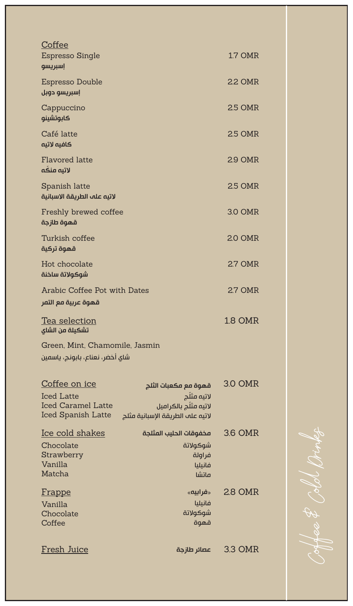| Coffee<br><b>Espresso Single</b><br>إسبريسو                                                  |                                                                                                 | <b>1.7 OMR</b> |
|----------------------------------------------------------------------------------------------|-------------------------------------------------------------------------------------------------|----------------|
| Espresso Double<br>إسبريسو دوبل                                                              |                                                                                                 | 2.2 OMR        |
| Cappuccino<br>كابوتشينو                                                                      |                                                                                                 | <b>2.5 OMR</b> |
| Café latte<br>كافيه لاتىه                                                                    |                                                                                                 | 2.5 OMR        |
| Flavored latte<br>لاتيه منكه                                                                 |                                                                                                 | 2.9 OMR        |
| Spanish latte<br>لاتيه عله الطريقة الاسبانية                                                 |                                                                                                 | 2.5 OMR        |
| Freshly brewed coffee<br>قهوة طازجة                                                          |                                                                                                 | 3.0 OMR        |
| Turkish coffee<br>قهوة تركية                                                                 |                                                                                                 | <b>2.0 OMR</b> |
| Hot chocolate<br>شوكولاتة ساخنة                                                              |                                                                                                 | 2.7 OMR        |
| Arabic Coffee Pot with Dates<br>قهوة عربية مع التمر                                          |                                                                                                 | 2.7 OMR        |
| <u>Tea selection</u><br>تشكيلة من الشاي                                                      |                                                                                                 | 1.8 OMR        |
| Green, Mint, Chamomile, Jasmin<br>شاي أخضر، نعناع، بابونج، ياسمين                            |                                                                                                 |                |
| Coffee on ice<br><b>Iced Latte</b><br><b>Iced Caramel Latte</b><br><b>Iced Spanish Latte</b> | قهوة مع مكعبات الثلج<br>لاتيه مثلّج<br>لاتيه مثلج بالكراميل<br>لاتيه علم الطريقة الإسبانية مثلج | 3.0 OMR        |
| Ice cold shakes<br>Chocolate<br>Strawberry<br>Vanilla<br>Matcha                              | مخفوقات الحليب المثلجة<br>شوكولاتة<br>فراولة<br>فانىلىا<br>ماتشا                                | 3.6 OMR        |
| <b>Frappe</b><br>Vanilla<br>Chocolate<br>Coffee                                              | «فرابیه»<br>فانيليا<br>شوكولاتة<br>قهوة                                                         | 2.8 OMR        |
| <u>Fresh Juice</u>                                                                           | عصائر طازجة                                                                                     | 3.3 OMR        |

Coffee & Cold Drinks